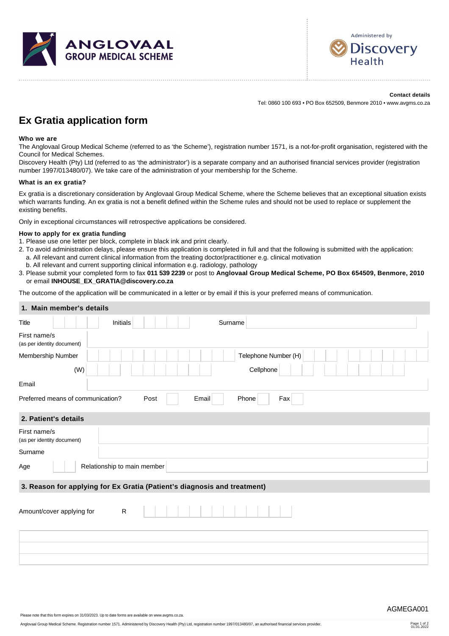



**Contact details** Tel: 0860 100 693 • PO Box 652509, Benmore 2010 • www.avgms.co.za

## **Ex Gratia application form**

## **Who we are**

The Anglovaal Group Medical Scheme (referred to as 'the Scheme'), registration number 1571, is a not-for-profit organisation, registered with the Council for Medical Schemes.

Discovery Health (Pty) Ltd (referred to as 'the administrator') is a separate company and an authorised financial services provider (registration number 1997/013480/07). We take care of the administration of your membership for the Scheme.

## **What is an ex gratia?**

Ex gratia is a discretionary consideration by Anglovaal Group Medical Scheme, where the Scheme believes that an exceptional situation exists which warrants funding. An ex gratia is not a benefit defined within the Scheme rules and should not be used to replace or supplement the existing benefits.

Only in exceptional circumstances will retrospective applications be considered.

## **How to apply for ex gratia funding**

- 1. Please use one letter per block, complete in black ink and print clearly.
- 2. To avoid administration delays, please ensure this application is completed in full and that the following is submitted with the application: a. All relevant and current clinical information from the treating doctor/practitioner e.g. clinical motivation
- b. All relevant and current supporting clinical information e.g. radiology, pathology
- 3. Please submit your completed form to fax **011 539 2239** or post to **Anglovaal Group Medical Scheme, PO Box 654509, Benmore, 2010** or email **[INHOUSE\\_EX\\_GRATIA@discovery.co.za](mailto:INHOUSE_EX_GRATIA@discovery.co.za)**

The outcome of the application will be communicated in a letter or by email if this is your preferred means of communication.

| 1. Main member's details                                                 |
|--------------------------------------------------------------------------|
| <b>Initials</b><br>Surname<br>Title                                      |
| First name/s<br>(as per identity document)                               |
| Telephone Number (H)<br>Membership Number                                |
| (W)<br>Cellphone                                                         |
| Email                                                                    |
| Preferred means of communication?<br>Email<br>Post<br>Phone<br>Fax       |
| 2. Patient's details                                                     |
| First name/s<br>(as per identity document)                               |
| Surname                                                                  |
| Relationship to main member<br>Age                                       |
| 3. Reason for applying for Ex Gratia (Patient's diagnosis and treatment) |
| Amount/cover applying for<br>R                                           |
|                                                                          |
|                                                                          |
|                                                                          |